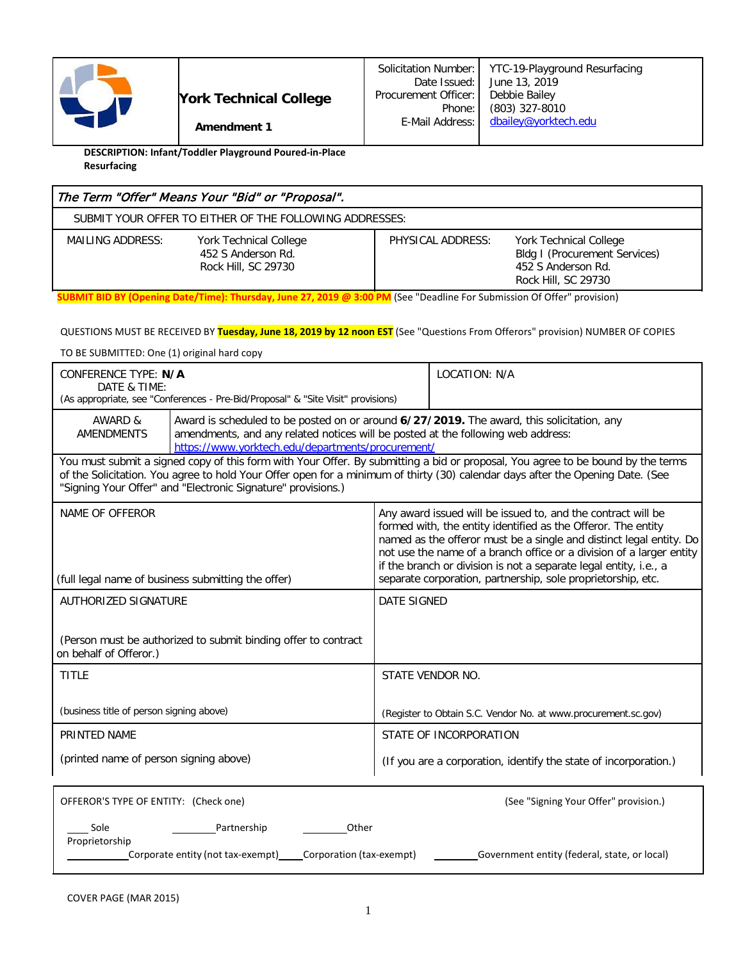

**DESCRIPTION: Infant/Toddler Playground Poured-in-Place Resurfacing**

| The Term "Offer" Means Your "Bid" or "Proposal".                                        |                   |                                                                                                                    |  |  |  |  |  |  |
|-----------------------------------------------------------------------------------------|-------------------|--------------------------------------------------------------------------------------------------------------------|--|--|--|--|--|--|
| SUBMIT YOUR OFFER TO EITHER OF THE FOLLOWING ADDRESSES:                                 |                   |                                                                                                                    |  |  |  |  |  |  |
| MAILING ADDRESS:<br>York Technical College<br>452 S Anderson Rd.<br>Rock Hill, SC 29730 | PHYSICAL ADDRESS: | <b>York Technical College</b><br><b>Bldg I (Procurement Services)</b><br>452 S Anderson Rd.<br>Rock Hill, SC 29730 |  |  |  |  |  |  |

**SUBMIT BID BY (Opening Date/Time): Thursday, June 27, 2019 @ 3:00 PM** (See "Deadline For Submission Of Offer" provision)

#### QUESTIONS MUST BE RECEIVED BY **Tuesday, June 18, 2019 by 12 noon EST** (See "Questions From Offerors" provision) NUMBER OF COPIES

TO BE SUBMITTED: One (1) original hard copy

| CONFERENCE TYPE: N/A<br>DATE & TIME:                                                                                                                                                                                                                                                                                              | (As appropriate, see "Conferences - Pre-Bid/Proposal" & "Site Visit" provisions)                                                                                                                                                   |                                                                  | LOCATION: N/A                                                                                                                                                                                                                                                                                                                                                                                                     |  |  |  |  |
|-----------------------------------------------------------------------------------------------------------------------------------------------------------------------------------------------------------------------------------------------------------------------------------------------------------------------------------|------------------------------------------------------------------------------------------------------------------------------------------------------------------------------------------------------------------------------------|------------------------------------------------------------------|-------------------------------------------------------------------------------------------------------------------------------------------------------------------------------------------------------------------------------------------------------------------------------------------------------------------------------------------------------------------------------------------------------------------|--|--|--|--|
| AWARD &<br><b>AMENDMENTS</b>                                                                                                                                                                                                                                                                                                      | Award is scheduled to be posted on or around 6/27/2019. The award, this solicitation, any<br>amendments, and any related notices will be posted at the following web address:<br>https://www.yorktech.edu/departments/procurement/ |                                                                  |                                                                                                                                                                                                                                                                                                                                                                                                                   |  |  |  |  |
| You must submit a signed copy of this form with Your Offer. By submitting a bid or proposal, You agree to be bound by the terms<br>of the Solicitation. You agree to hold Your Offer open for a minimum of thirty (30) calendar days after the Opening Date. (See<br>"Signing Your Offer" and "Electronic Signature" provisions.) |                                                                                                                                                                                                                                    |                                                                  |                                                                                                                                                                                                                                                                                                                                                                                                                   |  |  |  |  |
| NAME OF OFFEROR<br>(full legal name of business submitting the offer)                                                                                                                                                                                                                                                             |                                                                                                                                                                                                                                    |                                                                  | Any award issued will be issued to, and the contract will be<br>formed with, the entity identified as the Offeror. The entity<br>named as the offeror must be a single and distinct legal entity. Do<br>not use the name of a branch office or a division of a larger entity<br>if the branch or division is not a separate legal entity, i.e., a<br>separate corporation, partnership, sole proprietorship, etc. |  |  |  |  |
| <b>AUTHORIZED SIGNATURE</b>                                                                                                                                                                                                                                                                                                       |                                                                                                                                                                                                                                    |                                                                  | <b>DATE SIGNED</b>                                                                                                                                                                                                                                                                                                                                                                                                |  |  |  |  |
| on behalf of Offeror.)                                                                                                                                                                                                                                                                                                            | (Person must be authorized to submit binding offer to contract                                                                                                                                                                     |                                                                  |                                                                                                                                                                                                                                                                                                                                                                                                                   |  |  |  |  |
| <b>TITLE</b>                                                                                                                                                                                                                                                                                                                      |                                                                                                                                                                                                                                    |                                                                  | STATE VENDOR NO.                                                                                                                                                                                                                                                                                                                                                                                                  |  |  |  |  |
| (business title of person signing above)                                                                                                                                                                                                                                                                                          |                                                                                                                                                                                                                                    |                                                                  | (Register to Obtain S.C. Vendor No. at www.procurement.sc.gov)                                                                                                                                                                                                                                                                                                                                                    |  |  |  |  |
| PRINTED NAME                                                                                                                                                                                                                                                                                                                      |                                                                                                                                                                                                                                    |                                                                  | STATE OF INCORPORATION                                                                                                                                                                                                                                                                                                                                                                                            |  |  |  |  |
| (printed name of person signing above)                                                                                                                                                                                                                                                                                            |                                                                                                                                                                                                                                    | (If you are a corporation, identify the state of incorporation.) |                                                                                                                                                                                                                                                                                                                                                                                                                   |  |  |  |  |
| OFFEROR'S TYPE OF ENTITY: (Check one)                                                                                                                                                                                                                                                                                             |                                                                                                                                                                                                                                    |                                                                  | (See "Signing Your Offer" provision.)                                                                                                                                                                                                                                                                                                                                                                             |  |  |  |  |
| Sole                                                                                                                                                                                                                                                                                                                              | Other<br>Partnership                                                                                                                                                                                                               |                                                                  |                                                                                                                                                                                                                                                                                                                                                                                                                   |  |  |  |  |

Corporate entity (not tax-exempt) Corporation (tax-exempt) Government entity (federal, state, or local)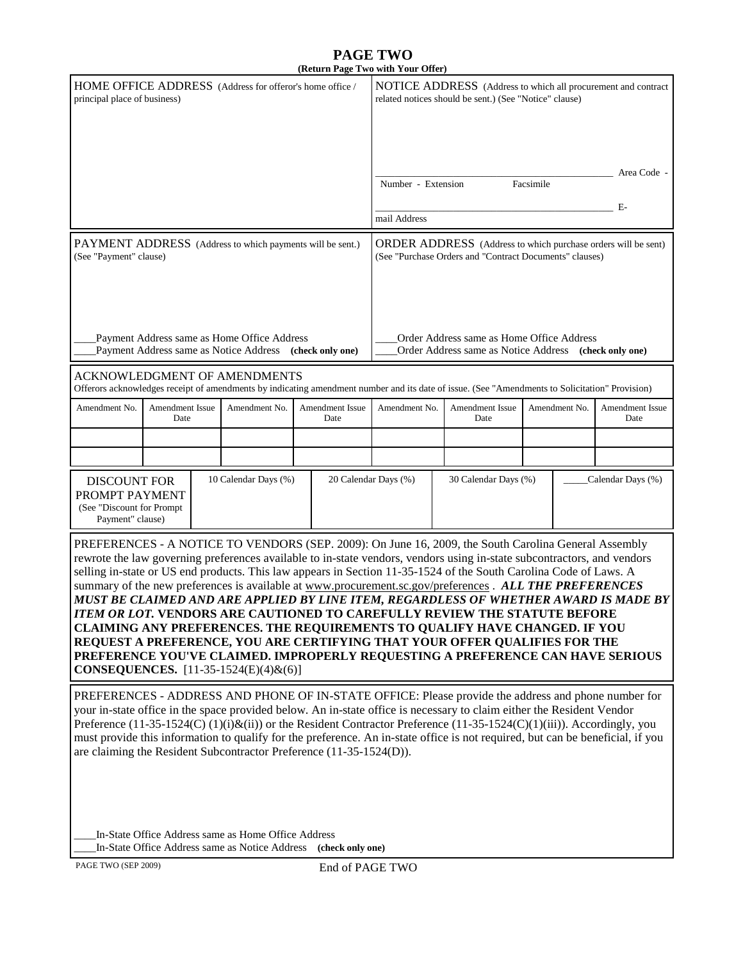#### **PAGE TWO (Return Page Two with Your Offer)**

|                                                                                                                                                                                                                                                                                                                                                                                                                                                                                                                                                                                                                                                                                                                                                                                                                                                                                                                                   |                                                 |  |                                                                                                                          |                                              |                                                                                                                         | (Return Page 1 wo with 1 our Oner) |  |                                                                                                                                                |                         |  |             |
|-----------------------------------------------------------------------------------------------------------------------------------------------------------------------------------------------------------------------------------------------------------------------------------------------------------------------------------------------------------------------------------------------------------------------------------------------------------------------------------------------------------------------------------------------------------------------------------------------------------------------------------------------------------------------------------------------------------------------------------------------------------------------------------------------------------------------------------------------------------------------------------------------------------------------------------|-------------------------------------------------|--|--------------------------------------------------------------------------------------------------------------------------|----------------------------------------------|-------------------------------------------------------------------------------------------------------------------------|------------------------------------|--|------------------------------------------------------------------------------------------------------------------------------------------------|-------------------------|--|-------------|
| HOME OFFICE ADDRESS (Address for offeror's home office /<br>principal place of business)                                                                                                                                                                                                                                                                                                                                                                                                                                                                                                                                                                                                                                                                                                                                                                                                                                          |                                                 |  |                                                                                                                          |                                              | NOTICE ADDRESS (Address to which all procurement and contract<br>related notices should be sent.) (See "Notice" clause) |                                    |  |                                                                                                                                                |                         |  |             |
|                                                                                                                                                                                                                                                                                                                                                                                                                                                                                                                                                                                                                                                                                                                                                                                                                                                                                                                                   |                                                 |  |                                                                                                                          |                                              |                                                                                                                         |                                    |  |                                                                                                                                                |                         |  | Area Code - |
|                                                                                                                                                                                                                                                                                                                                                                                                                                                                                                                                                                                                                                                                                                                                                                                                                                                                                                                                   |                                                 |  |                                                                                                                          |                                              |                                                                                                                         | Number - Extension<br>Facsimile    |  |                                                                                                                                                |                         |  |             |
|                                                                                                                                                                                                                                                                                                                                                                                                                                                                                                                                                                                                                                                                                                                                                                                                                                                                                                                                   |                                                 |  |                                                                                                                          |                                              |                                                                                                                         | Е-<br>mail Address                 |  |                                                                                                                                                |                         |  |             |
| PAYMENT ADDRESS (Address to which payments will be sent.)<br>(See "Payment" clause)                                                                                                                                                                                                                                                                                                                                                                                                                                                                                                                                                                                                                                                                                                                                                                                                                                               |                                                 |  | ORDER ADDRESS (Address to which purchase orders will be sent)<br>(See "Purchase Orders and "Contract Documents" clauses) |                                              |                                                                                                                         |                                    |  |                                                                                                                                                |                         |  |             |
| Order Address same as Home Office Address<br>Payment Address same as Home Office Address<br>Payment Address same as Notice Address (check only one)<br>Order Address same as Notice Address (check only one)                                                                                                                                                                                                                                                                                                                                                                                                                                                                                                                                                                                                                                                                                                                      |                                                 |  |                                                                                                                          |                                              |                                                                                                                         |                                    |  |                                                                                                                                                |                         |  |             |
|                                                                                                                                                                                                                                                                                                                                                                                                                                                                                                                                                                                                                                                                                                                                                                                                                                                                                                                                   |                                                 |  | ACKNOWLEDGMENT OF AMENDMENTS                                                                                             |                                              |                                                                                                                         |                                    |  | Offerors acknowledges receipt of amendments by indicating amendment number and its date of issue. (See "Amendments to Solicitation" Provision) |                         |  |             |
| Amendment No.                                                                                                                                                                                                                                                                                                                                                                                                                                                                                                                                                                                                                                                                                                                                                                                                                                                                                                                     | <b>Amendment Issue</b><br>Amendment No.<br>Date |  | Amendment Issue<br>Date                                                                                                  | Amendment No.                                |                                                                                                                         | Amendment Issue<br>Date            |  | Amendment No.                                                                                                                                  | Amendment Issue<br>Date |  |             |
|                                                                                                                                                                                                                                                                                                                                                                                                                                                                                                                                                                                                                                                                                                                                                                                                                                                                                                                                   |                                                 |  |                                                                                                                          |                                              |                                                                                                                         |                                    |  |                                                                                                                                                |                         |  |             |
|                                                                                                                                                                                                                                                                                                                                                                                                                                                                                                                                                                                                                                                                                                                                                                                                                                                                                                                                   |                                                 |  |                                                                                                                          |                                              |                                                                                                                         |                                    |  |                                                                                                                                                |                         |  |             |
| 10 Calendar Days (%)<br><b>DISCOUNT FOR</b><br>PROMPT PAYMENT<br>(See "Discount for Prompt<br>Payment" clause)                                                                                                                                                                                                                                                                                                                                                                                                                                                                                                                                                                                                                                                                                                                                                                                                                    |                                                 |  |                                                                                                                          | 20 Calendar Days (%)<br>30 Calendar Days (%) |                                                                                                                         |                                    |  | Calendar Days (%)                                                                                                                              |                         |  |             |
| PREFERENCES - A NOTICE TO VENDORS (SEP. 2009): On June 16, 2009, the South Carolina General Assembly<br>rewrote the law governing preferences available to in-state vendors, vendors using in-state subcontractors, and vendors<br>selling in-state or US end products. This law appears in Section 11-35-1524 of the South Carolina Code of Laws. A<br>summary of the new preferences is available at www.procurement.sc.gov/preferences . ALL THE PREFERENCES<br>MUST BE CLAIMED AND ARE APPLIED BY LINE ITEM, REGARDLESS OF WHETHER AWARD IS MADE BY<br>ITEM OR LOT. VENDORS ARE CAUTIONED TO CAREFULLY REVIEW THE STATUTE BEFORE<br>CLAIMING ANY PREFERENCES. THE REQUIREMENTS TO QUALIFY HAVE CHANGED. IF YOU<br>REQUEST A PREFERENCE, YOU ARE CERTIFYING THAT YOUR OFFER QUALIFIES FOR THE<br>PREFERENCE YOU'VE CLAIMED. IMPROPERLY REQUESTING A PREFERENCE CAN HAVE SERIOUS<br><b>CONSEQUENCES.</b> [11-35-1524(E)(4)&(6)] |                                                 |  |                                                                                                                          |                                              |                                                                                                                         |                                    |  |                                                                                                                                                |                         |  |             |
| PREFERENCES - ADDRESS AND PHONE OF IN-STATE OFFICE: Please provide the address and phone number for<br>your in-state office in the space provided below. An in-state office is necessary to claim either the Resident Vendor<br>Preference (11-35-1524(C) (1)(i)&(ii)) or the Resident Contractor Preference (11-35-1524(C)(1)(iii)). Accordingly, you<br>must provide this information to qualify for the preference. An in-state office is not required, but can be beneficial, if you<br>are claiming the Resident Subcontractor Preference (11-35-1524(D)).                                                                                                                                                                                                                                                                                                                                                                   |                                                 |  |                                                                                                                          |                                              |                                                                                                                         |                                    |  |                                                                                                                                                |                         |  |             |
|                                                                                                                                                                                                                                                                                                                                                                                                                                                                                                                                                                                                                                                                                                                                                                                                                                                                                                                                   |                                                 |  | In-State Office Address same as Home Office Address                                                                      |                                              |                                                                                                                         |                                    |  |                                                                                                                                                |                         |  |             |

\_\_\_\_In-State Office Address same as Notice Address **(check only one)**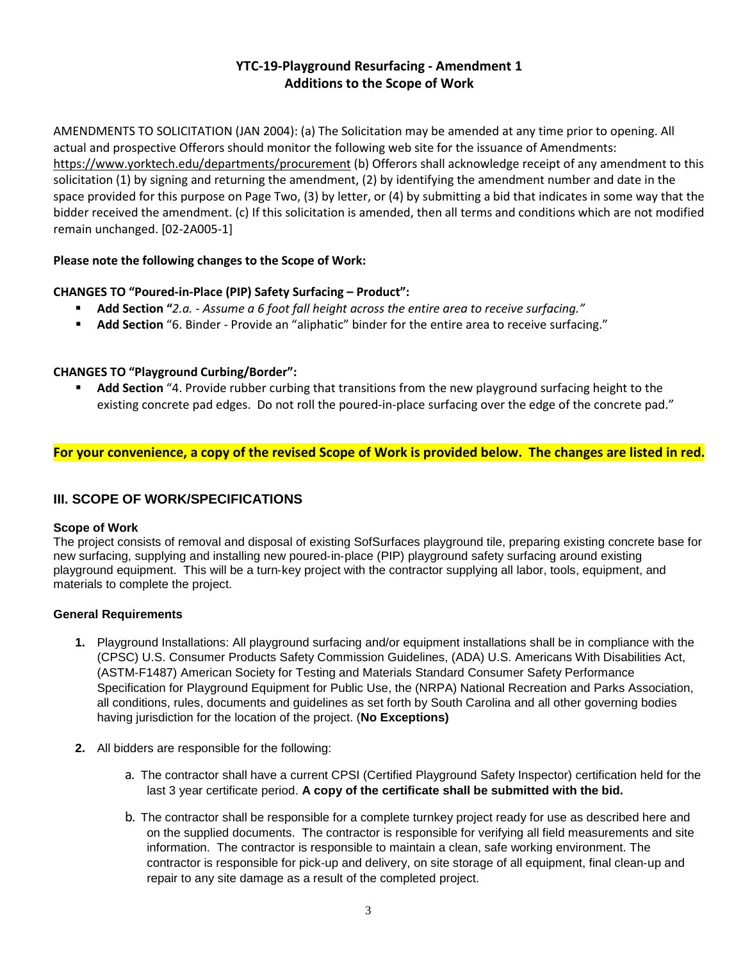# **YTC-19-Playground Resurfacing - Amendment 1 Additions to the Scope of Work**

AMENDMENTS TO SOLICITATION (JAN 2004): (a) The Solicitation may be amended at any time prior to opening. All actual and prospective Offerors should monitor the following web site for the issuance of Amendments: <https://www.yorktech.edu/departments/procurement> (b) Offerors shall acknowledge receipt of any amendment to this solicitation (1) by signing and returning the amendment, (2) by identifying the amendment number and date in the space provided for this purpose on Page Two, (3) by letter, or (4) by submitting a bid that indicates in some way that the bidder received the amendment. (c) If this solicitation is amended, then all terms and conditions which are not modified remain unchanged. [02-2A005-1]

### **Please note the following changes to the Scope of Work:**

### **CHANGES TO "Poured-in-Place (PIP) Safety Surfacing – Product":**

- **Add Section "***2.a. - Assume a 6 foot fall height across the entire area to receive surfacing."*
- **Add Section** "6. Binder Provide an "aliphatic" binder for the entire area to receive surfacing."

#### **CHANGES TO "Playground Curbing/Border":**

 **Add Section** "4. Provide rubber curbing that transitions from the new playground surfacing height to the existing concrete pad edges. Do not roll the poured-in-place surfacing over the edge of the concrete pad."

### **For your convenience, a copy of the revised Scope of Work is provided below. The changes are listed in red.**

# **III. SCOPE OF WORK/SPECIFICATIONS**

#### **Scope of Work**

The project consists of removal and disposal of existing SofSurfaces playground tile, preparing existing concrete base for new surfacing, supplying and installing new poured‐in‐place (PIP) playground safety surfacing around existing playground equipment. This will be a turn‐key project with the contractor supplying all labor, tools, equipment, and materials to complete the project.

#### **General Requirements**

- **1.** Playground Installations: All playground surfacing and/or equipment installations shall be in compliance with the (CPSC) U.S. Consumer Products Safety Commission Guidelines, (ADA) U.S. Americans With Disabilities Act, (ASTM‐F1487) American Society for Testing and Materials Standard Consumer Safety Performance Specification for Playground Equipment for Public Use, the (NRPA) National Recreation and Parks Association, all conditions, rules, documents and guidelines as set forth by South Carolina and all other governing bodies having jurisdiction for the location of the project. (**No Exceptions)**
- **2.** All bidders are responsible for the following:
	- a. The contractor shall have a current CPSI (Certified Playground Safety Inspector) certification held for the last 3 year certificate period. **A copy of the certificate shall be submitted with the bid.**
	- b. The contractor shall be responsible for a complete turnkey project ready for use as described here and on the supplied documents. The contractor is responsible for verifying all field measurements and site information. The contractor is responsible to maintain a clean, safe working environment. The contractor is responsible for pick‐up and delivery, on site storage of all equipment, final clean‐up and repair to any site damage as a result of the completed project.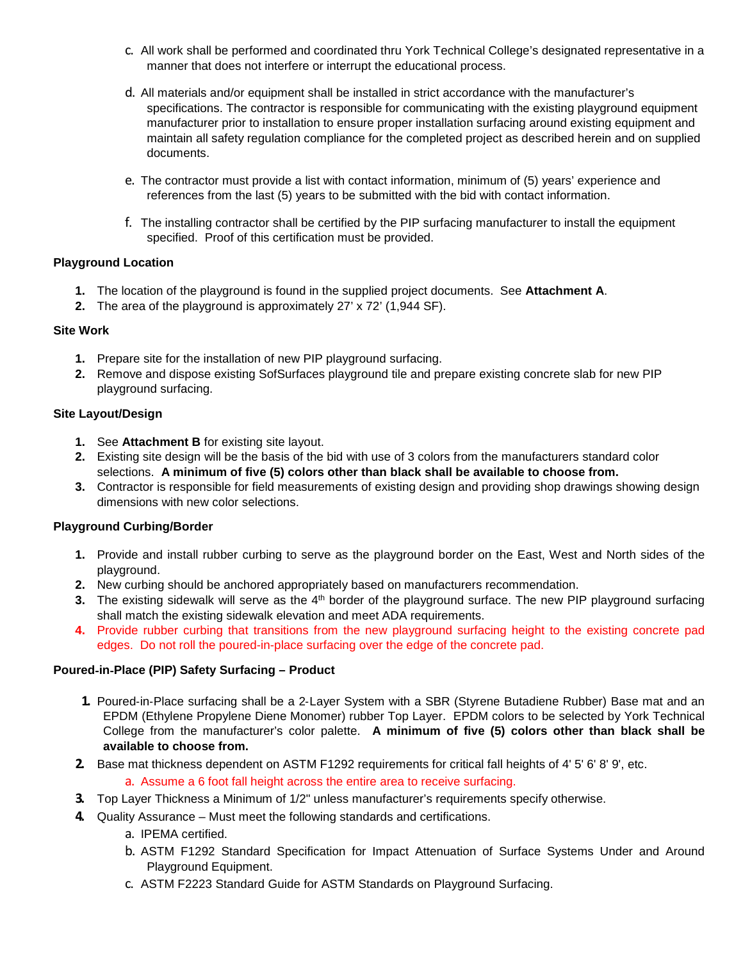- c. All work shall be performed and coordinated thru York Technical College's designated representative in a manner that does not interfere or interrupt the educational process.
- d. All materials and/or equipment shall be installed in strict accordance with the manufacturer's specifications. The contractor is responsible for communicating with the existing playground equipment manufacturer prior to installation to ensure proper installation surfacing around existing equipment and maintain all safety regulation compliance for the completed project as described herein and on supplied documents.
- e. The contractor must provide a list with contact information, minimum of (5) years' experience and references from the last (5) years to be submitted with the bid with contact information.
- f. The installing contractor shall be certified by the PIP surfacing manufacturer to install the equipment specified. Proof of this certification must be provided.

#### **Playground Location**

- **1.** The location of the playground is found in the supplied project documents. See **Attachment A**.
- **2.** The area of the playground is approximately 27' x 72' (1,944 SF).

#### **Site Work**

- **1.** Prepare site for the installation of new PIP playground surfacing.
- **2.** Remove and dispose existing SofSurfaces playground tile and prepare existing concrete slab for new PIP playground surfacing.

#### **Site Layout/Design**

- **1.** See **Attachment B** for existing site layout.
- **2.** Existing site design will be the basis of the bid with use of 3 colors from the manufacturers standard color selections. **A minimum of five (5) colors other than black shall be available to choose from.**
- **3.** Contractor is responsible for field measurements of existing design and providing shop drawings showing design dimensions with new color selections.

### **Playground Curbing/Border**

- **1.** Provide and install rubber curbing to serve as the playground border on the East, West and North sides of the playground.
- **2.** New curbing should be anchored appropriately based on manufacturers recommendation.
- **3.** The existing sidewalk will serve as the 4<sup>th</sup> border of the playground surface. The new PIP playground surfacing shall match the existing sidewalk elevation and meet ADA requirements.
- **4.** Provide rubber curbing that transitions from the new playground surfacing height to the existing concrete pad edges. Do not roll the poured-in-place surfacing over the edge of the concrete pad.

#### **Poured**‐**in**‐**Place (PIP) Safety Surfacing – Product**

- **1.** Poured‐in‐Place surfacing shall be a 2‐Layer System with a SBR (Styrene Butadiene Rubber) Base mat and an EPDM (Ethylene Propylene Diene Monomer) rubber Top Layer. EPDM colors to be selected by York Technical College from the manufacturer's color palette. **A minimum of five (5) colors other than black shall be available to choose from.**
- **2.** Base mat thickness dependent on ASTM F1292 requirements for critical fall heights of 4' 5' 6' 8' 9', etc.
	- a. Assume a 6 foot fall height across the entire area to receive surfacing.
- **3.** Top Layer Thickness a Minimum of 1/2" unless manufacturer's requirements specify otherwise.
- **4.** Quality Assurance Must meet the following standards and certifications.
	- a. IPEMA certified.
	- b. ASTM F1292 Standard Specification for Impact Attenuation of Surface Systems Under and Around Playground Equipment.
	- c. ASTM F2223 Standard Guide for ASTM Standards on Playground Surfacing.